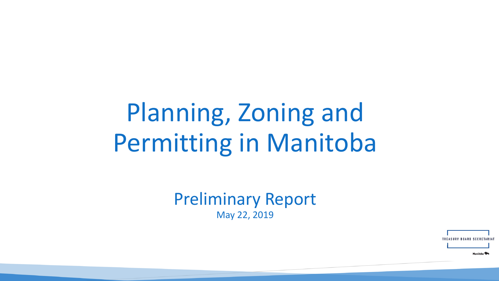# Planning, Zoning and Permitting in Manitoba

Preliminary Report May 22, 2019

**TREASURY BOARD SECRET** 

Manitoba<sup>9</sup>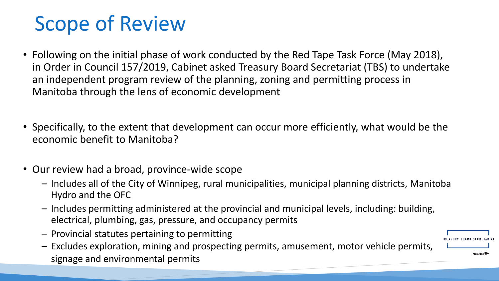# Scope of Review

- Following on the initial phase of work conducted by the Red Tape Task Force (May 2018), in Order in Council 157/2019, Cabinet asked Treasury Board Secretariat (TBS) to undertake an independent program review of the planning, zoning and permitting process in Manitoba through the lens of economic development
- Specifically, to the extent that development can occur more efficiently, what would be the economic benefit to Manitoba?
- Our review had a broad, province-wide scope
	- Includes all of the City of Winnipeg, rural municipalities, municipal planning districts, Manitoba Hydro and the OFC
	- Includes permitting administered at the provincial and municipal levels, including: building, electrical, plumbing, gas, pressure, and occupancy permits
	- Provincial statutes pertaining to permitting
	- Excludes exploration, mining and prospecting permits, amusement, motor vehicle permits, signage and environmental permits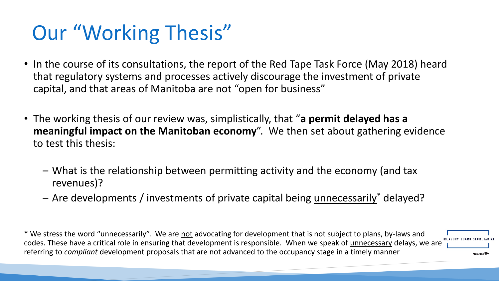# Our "Working Thesis"

- In the course of its consultations, the report of the Red Tape Task Force (May 2018) heard that regulatory systems and processes actively discourage the investment of private capital, and that areas of Manitoba are not "open for business"
- The working thesis of our review was, simplistically, that "**a permit delayed has a meaningful impact on the Manitoban economy**". We then set about gathering evidence to test this thesis:
	- What is the relationship between permitting activity and the economy (and tax revenues)?
	- Are developments / investments of private capital being unnecessarily<sup>\*</sup> delayed?

\* We stress the word "unnecessarily". We are not advocating for development that is not subject to plans, by-laws and codes. These have a critical role in ensuring that development is responsible. When we speak of unnecessary delays, we are  $\frac{1}{1}$ referring to *compliant* development proposals that are not advanced to the occupancy stage in a timely manner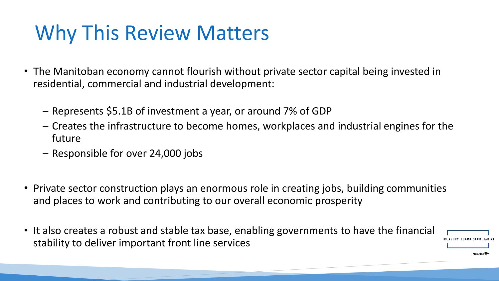# Why This Review Matters

- The Manitoban economy cannot flourish without private sector capital being invested in residential, commercial and industrial development:
	- Represents \$5.1B of investment a year, or around 7% of GDP
	- Creates the infrastructure to become homes, workplaces and industrial engines for the future
	- Responsible for over 24,000 jobs
- Private sector construction plays an enormous role in creating jobs, building communities and places to work and contributing to our overall economic prosperity
- It also creates a robust and stable tax base, enabling governments to have the financial stability to deliver important front line services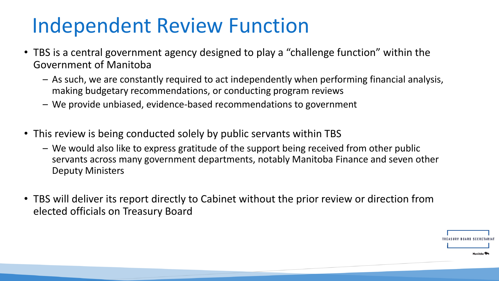# Independent Review Function

- TBS is a central government agency designed to play a "challenge function" within the Government of Manitoba
	- As such, we are constantly required to act independently when performing financial analysis, making budgetary recommendations, or conducting program reviews
	- We provide unbiased, evidence-based recommendations to government
- This review is being conducted solely by public servants within TBS
	- We would also like to express gratitude of the support being received from other public servants across many government departments, notably Manitoba Finance and seven other Deputy Ministers
- TBS will deliver its report directly to Cabinet without the prior review or direction from elected officials on Treasury Board

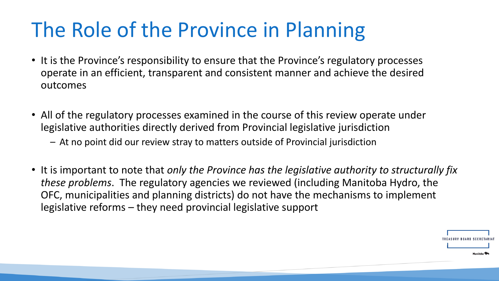# The Role of the Province in Planning

- It is the Province's responsibility to ensure that the Province's regulatory processes operate in an efficient, transparent and consistent manner and achieve the desired outcomes
- All of the regulatory processes examined in the course of this review operate under legislative authorities directly derived from Provincial legislative jurisdiction
	- At no point did our review stray to matters outside of Provincial jurisdiction
- It is important to note that *only the Province has the legislative authority to structurally fix these problems*. The regulatory agencies we reviewed (including Manitoba Hydro, the OFC, municipalities and planning districts) do not have the mechanisms to implement legislative reforms – they need provincial legislative support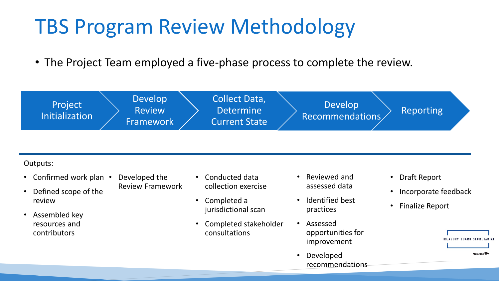# TBS Program Review Methodology

• The Project Team employed a five-phase process to complete the review.



#### Outputs:

- Confirmed work plan •
- Defined scope of the review
- Assembled key resources and contributors
- Developed the Review Framework
- Conducted data collection exercise
- Completed a jurisdictional scan
- Completed stakeholder consultations
- Reviewed and assessed data
- Identified best practices
- Assessed opportunities for improvement
- Developed recommendations
- Draft Report
- Incorporate feedback
- Finalize Report

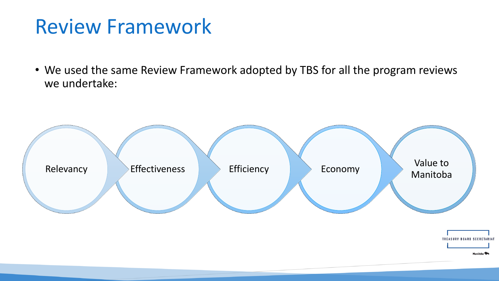### Review Framework

• We used the same Review Framework adopted by TBS for all the program reviews we undertake:

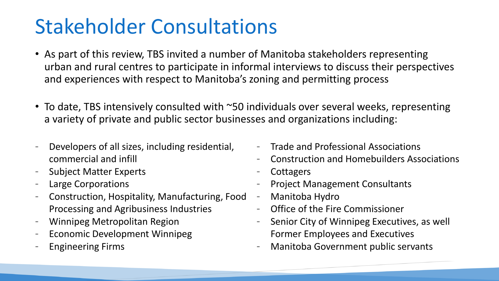# Stakeholder Consultations

- As part of this review, TBS invited a number of Manitoba stakeholders representing urban and rural centres to participate in informal interviews to discuss their perspectives and experiences with respect to Manitoba's zoning and permitting process
- To date, TBS intensively consulted with ~50 individuals over several weeks, representing a variety of private and public sector businesses and organizations including:
- Developers of all sizes, including residential, commercial and infill
- Subject Matter Experts
- Large Corporations
- Construction, Hospitality, Manufacturing, Food Processing and Agribusiness Industries
- Winnipeg Metropolitan Region
- Economic Development Winnipeg
- Engineering Firms
- Trade and Professional Associations
- Construction and Homebuilders Associations
- **Cottagers**
- Project Management Consultants
- Manitoba Hydro
- Office of the Fire Commissioner
- Senior City of Winnipeg Executives, as well Former Employees and Executives
- Manitoba Government public servants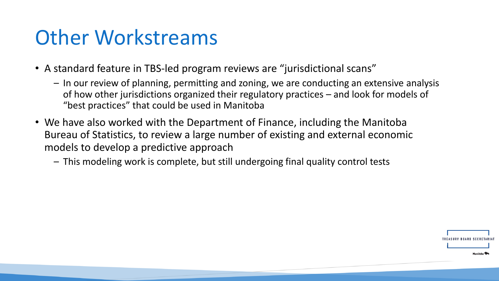### Other Workstreams

- A standard feature in TBS-led program reviews are "jurisdictional scans"
	- In our review of planning, permitting and zoning, we are conducting an extensive analysis of how other jurisdictions organized their regulatory practices – and look for models of "best practices" that could be used in Manitoba
- We have also worked with the Department of Finance, including the Manitoba Bureau of Statistics, to review a large number of existing and external economic models to develop a predictive approach
	- This modeling work is complete, but still undergoing final quality control tests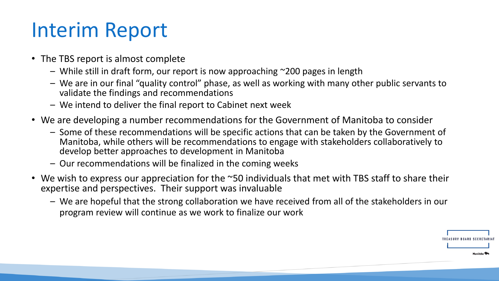# Interim Report

- The TBS report is almost complete
	- While still in draft form, our report is now approaching ~200 pages in length
	- We are in our final "quality control" phase, as well as working with many other public servants to validate the findings and recommendations
	- We intend to deliver the final report to Cabinet next week
- We are developing a number recommendations for the Government of Manitoba to consider
	- Some of these recommendations will be specific actions that can be taken by the Government of Manitoba, while others will be recommendations to engage with stakeholders collaboratively to develop better approaches to development in Manitoba
	- Our recommendations will be finalized in the coming weeks
- We wish to express our appreciation for the ~50 individuals that met with TBS staff to share their expertise and perspectives. Their support was invaluable
	- We are hopeful that the strong collaboration we have received from all of the stakeholders in our program review will continue as we work to finalize our work

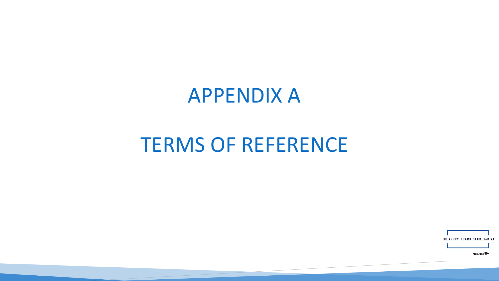#### APPENDIX A

#### TERMS OF REFERENCE

**TREASURY BOARD SECRETARIA** 

Manitoba<sup>9</sup>